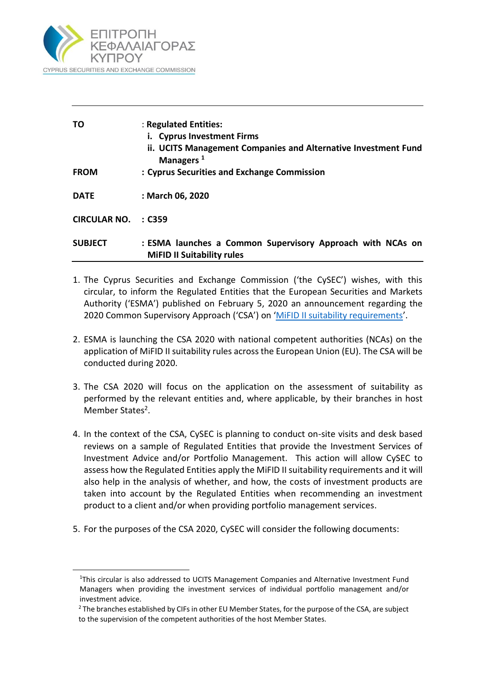

**.** 

| то                  | : Regulated Entities:<br><b>Cyprus Investment Firms</b><br>ii. UCITS Management Companies and Alternative Investment Fund<br>Managers <sup>1</sup> |
|---------------------|----------------------------------------------------------------------------------------------------------------------------------------------------|
| <b>FROM</b>         | : Cyprus Securities and Exchange Commission                                                                                                        |
| <b>DATE</b>         | : March 06, 2020                                                                                                                                   |
| <b>CIRCULAR NO.</b> | $\therefore$ C359                                                                                                                                  |
| <b>SUBJECT</b>      | : ESMA launches a Common Supervisory Approach with NCAs on<br><b>MiFID II Suitability rules</b>                                                    |

- 1. The Cyprus Securities and Exchange Commission ('the CySEC') wishes, with this circular, to inform the Regulated Entities that the European Securities and Markets Authority ('ESMA') published on February 5, 2020 an announcement regarding the 2020 Common Supervisory Approach ('CSA') on '[MiFID II suitability requirements](https://www.esma.europa.eu/press-news/esma-news/esma-launches-common-supervisory-action-ncas-mifid-ii-suitability-rules)'.
- 2. ESMA is launching the CSA 2020 with national competent authorities (NCAs) on the application of MiFID II suitability rules across the European Union (EU). The CSA will be conducted during 2020.
- 3. The CSA 2020 will focus on the application on the assessment of suitability as performed by the relevant entities and, where applicable, by their branches in host Member States<sup>2</sup>.
- 4. In the context of the CSA, CySEC is planning to conduct on-site visits and desk based reviews on a sample of Regulated Entities that provide the Investment Services of Investment Advice and/or Portfolio Management. This action will allow CySEC to assess how the Regulated Entities apply the MiFID II suitability requirements and it will also help in the analysis of whether, and how, the costs of investment products are taken into account by the Regulated Entities when recommending an investment product to a client and/or when providing portfolio management services.
- 5. For the purposes of the CSA 2020, CySEC will consider the following documents:

<sup>&</sup>lt;sup>1</sup>This circular is also addressed to UCITS Management Companies and Alternative Investment Fund Managers when providing the investment services of individual portfolio management and/or investment advice.

 $2$  The branches established by CIFs in other EU Member States, for the purpose of the CSA, are subject to the supervision of the competent authorities of the host Member States.